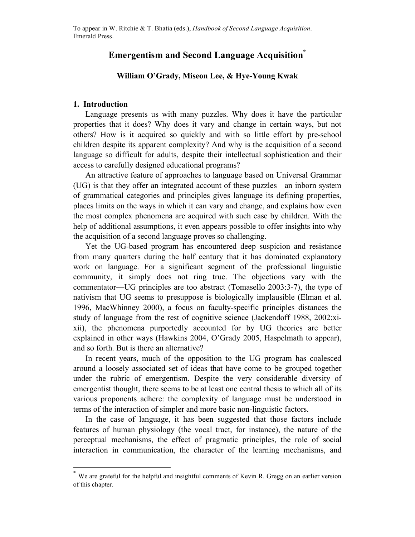# **Emergentism and Second Language Acquisition\***

# **William O'Grady, Miseon Lee, & Hye-Young Kwak**

# **1. Introduction**

Language presents us with many puzzles. Why does it have the particular properties that it does? Why does it vary and change in certain ways, but not others? How is it acquired so quickly and with so little effort by pre-school children despite its apparent complexity? And why is the acquisition of a second language so difficult for adults, despite their intellectual sophistication and their access to carefully designed educational programs?

An attractive feature of approaches to language based on Universal Grammar (UG) is that they offer an integrated account of these puzzles—an inborn system of grammatical categories and principles gives language its defining properties, places limits on the ways in which it can vary and change, and explains how even the most complex phenomena are acquired with such ease by children. With the help of additional assumptions, it even appears possible to offer insights into why the acquisition of a second language proves so challenging.

Yet the UG-based program has encountered deep suspicion and resistance from many quarters during the half century that it has dominated explanatory work on language. For a significant segment of the professional linguistic community, it simply does not ring true. The objections vary with the commentator—UG principles are too abstract (Tomasello 2003:3-7), the type of nativism that UG seems to presuppose is biologically implausible (Elman et al. 1996, MacWhinney 2000), a focus on faculty-specific principles distances the study of language from the rest of cognitive science (Jackendoff 1988, 2002:xixii), the phenomena purportedly accounted for by UG theories are better explained in other ways (Hawkins 2004, O'Grady 2005, Haspelmath to appear), and so forth. But is there an alternative?

In recent years, much of the opposition to the UG program has coalesced around a loosely associated set of ideas that have come to be grouped together under the rubric of emergentism. Despite the very considerable diversity of emergentist thought, there seems to be at least one central thesis to which all of its various proponents adhere: the complexity of language must be understood in terms of the interaction of simpler and more basic non-linguistic factors.

In the case of language, it has been suggested that those factors include features of human physiology (the vocal tract, for instance), the nature of the perceptual mechanisms, the effect of pragmatic principles, the role of social interaction in communication, the character of the learning mechanisms, and

 <sup>\*</sup> We are grateful for the helpful and insightful comments of Kevin R. Gregg on an earlier version of this chapter.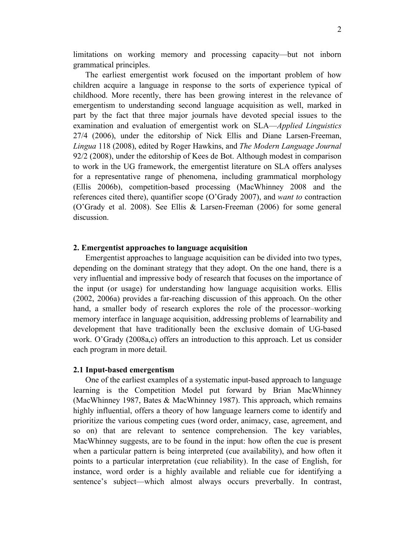limitations on working memory and processing capacity—but not inborn grammatical principles.

The earliest emergentist work focused on the important problem of how children acquire a language in response to the sorts of experience typical of childhood. More recently, there has been growing interest in the relevance of emergentism to understanding second language acquisition as well, marked in part by the fact that three major journals have devoted special issues to the examination and evaluation of emergentist work on SLA—*Applied Linguistics* 27/4 (2006), under the editorship of Nick Ellis and Diane Larsen-Freeman, *Lingua* 118 (2008), edited by Roger Hawkins, and *The Modern Language Journal* 92/2 (2008), under the editorship of Kees de Bot. Although modest in comparison to work in the UG framework, the emergentist literature on SLA offers analyses for a representative range of phenomena, including grammatical morphology (Ellis 2006b), competition-based processing (MacWhinney 2008 and the references cited there), quantifier scope (O'Grady 2007), and *want to* contraction (O'Grady et al. 2008). See Ellis & Larsen-Freeman (2006) for some general discussion.

### **2. Emergentist approaches to language acquisition**

Emergentist approaches to language acquisition can be divided into two types, depending on the dominant strategy that they adopt. On the one hand, there is a very influential and impressive body of research that focuses on the importance of the input (or usage) for understanding how language acquisition works. Ellis (2002, 2006a) provides a far-reaching discussion of this approach. On the other hand, a smaller body of research explores the role of the processor–working memory interface in language acquisition, addressing problems of learnability and development that have traditionally been the exclusive domain of UG-based work. O'Grady (2008a,c) offers an introduction to this approach. Let us consider each program in more detail.

### **2.1 Input-based emergentism**

One of the earliest examples of a systematic input-based approach to language learning is the Competition Model put forward by Brian MacWhinney (MacWhinney 1987, Bates & MacWhinney 1987). This approach, which remains highly influential, offers a theory of how language learners come to identify and prioritize the various competing cues (word order, animacy, case, agreement, and so on) that are relevant to sentence comprehension. The key variables, MacWhinney suggests, are to be found in the input: how often the cue is present when a particular pattern is being interpreted (cue availability), and how often it points to a particular interpretation (cue reliability). In the case of English, for instance, word order is a highly available and reliable cue for identifying a sentence's subject—which almost always occurs preverbally. In contrast,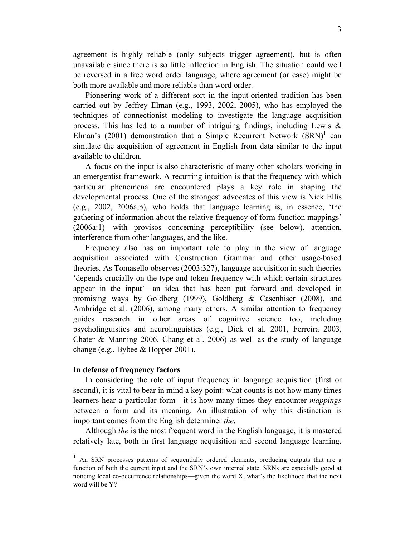agreement is highly reliable (only subjects trigger agreement), but is often unavailable since there is so little inflection in English. The situation could well be reversed in a free word order language, where agreement (or case) might be both more available and more reliable than word order.

Pioneering work of a different sort in the input-oriented tradition has been carried out by Jeffrey Elman (e.g., 1993, 2002, 2005), who has employed the techniques of connectionist modeling to investigate the language acquisition process. This has led to a number of intriguing findings, including Lewis  $\&$ Elman's (2001) demonstration that a Simple Recurrent Network  $(SRN)^1$  can simulate the acquisition of agreement in English from data similar to the input available to children.

A focus on the input is also characteristic of many other scholars working in an emergentist framework. A recurring intuition is that the frequency with which particular phenomena are encountered plays a key role in shaping the developmental process. One of the strongest advocates of this view is Nick Ellis (e.g., 2002, 2006a,b), who holds that language learning is, in essence, 'the gathering of information about the relative frequency of form-function mappings' (2006a:1)—with provisos concerning perceptibility (see below), attention, interference from other languages, and the like.

Frequency also has an important role to play in the view of language acquisition associated with Construction Grammar and other usage-based theories. As Tomasello observes (2003:327), language acquisition in such theories 'depends crucially on the type and token frequency with which certain structures appear in the input'—an idea that has been put forward and developed in promising ways by Goldberg (1999), Goldberg & Casenhiser (2008), and Ambridge et al. (2006), among many others. A similar attention to frequency guides research in other areas of cognitive science too, including psycholinguistics and neurolinguistics (e.g., Dick et al. 2001, Ferreira 2003, Chater & Manning 2006, Chang et al. 2006) as well as the study of language change (e.g., Bybee & Hopper 2001).

### **In defense of frequency factors**

In considering the role of input frequency in language acquisition (first or second), it is vital to bear in mind a key point: what counts is not how many times learners hear a particular form—it is how many times they encounter *mappings* between a form and its meaning. An illustration of why this distinction is important comes from the English determiner *the*.

Although *the* is the most frequent word in the English language, it is mastered relatively late, both in first language acquisition and second language learning.

<sup>&</sup>lt;sup>1</sup> An SRN processes patterns of sequentially ordered elements, producing outputs that are a function of both the current input and the SRN's own internal state. SRNs are especially good at noticing local co-occurrence relationships—given the word X, what's the likelihood that the next word will be Y?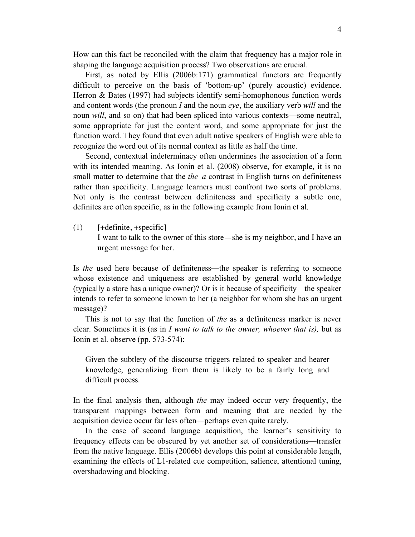How can this fact be reconciled with the claim that frequency has a major role in shaping the language acquisition process? Two observations are crucial.

First, as noted by Ellis (2006b:171) grammatical functors are frequently difficult to perceive on the basis of 'bottom-up' (purely acoustic) evidence. Herron & Bates (1997) had subjects identify semi-homophonous function words and content words (the pronoun *I* and the noun *eye*, the auxiliary verb *will* and the noun *will*, and so on) that had been spliced into various contexts—some neutral, some appropriate for just the content word, and some appropriate for just the function word. They found that even adult native speakers of English were able to recognize the word out of its normal context as little as half the time.

Second, contextual indeterminacy often undermines the association of a form with its intended meaning. As Ionin et al. (2008) observe, for example, it is no small matter to determine that the *the–a* contrast in English turns on definiteness rather than specificity. Language learners must confront two sorts of problems. Not only is the contrast between definiteness and specificity a subtle one, definites are often specific, as in the following example from Ionin et al.

 $(1)$  [+definite, +specific] I want to talk to the owner of this store—she is my neighbor, and I have an urgent message for her.

Is *the* used here because of definiteness—the speaker is referring to someone whose existence and uniqueness are established by general world knowledge (typically a store has a unique owner)? Or is it because of specificity—the speaker intends to refer to someone known to her (a neighbor for whom she has an urgent message)?

This is not to say that the function of *the* as a definiteness marker is never clear. Sometimes it is (as in *I want to talk to the owner, whoever that is),* but as Ionin et al. observe (pp. 573-574):

Given the subtlety of the discourse triggers related to speaker and hearer knowledge, generalizing from them is likely to be a fairly long and difficult process.

In the final analysis then, although *the* may indeed occur very frequently, the transparent mappings between form and meaning that are needed by the acquisition device occur far less often—perhaps even quite rarely.

In the case of second language acquisition, the learner's sensitivity to frequency effects can be obscured by yet another set of considerations—transfer from the native language. Ellis (2006b) develops this point at considerable length, examining the effects of L1-related cue competition, salience, attentional tuning, overshadowing and blocking.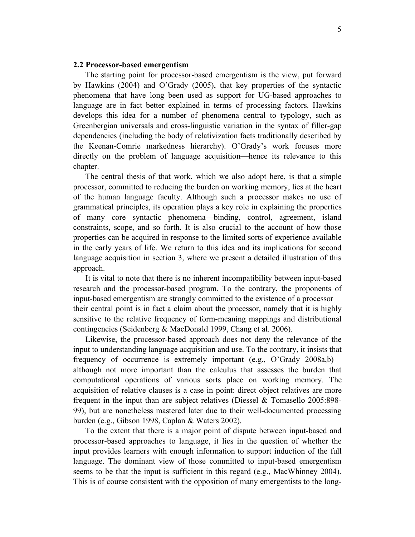#### **2.2 Processor-based emergentism**

The starting point for processor-based emergentism is the view, put forward by Hawkins (2004) and O'Grady (2005), that key properties of the syntactic phenomena that have long been used as support for UG-based approaches to language are in fact better explained in terms of processing factors. Hawkins develops this idea for a number of phenomena central to typology, such as Greenbergian universals and cross-linguistic variation in the syntax of filler-gap dependencies (including the body of relativization facts traditionally described by the Keenan-Comrie markedness hierarchy). O'Grady's work focuses more directly on the problem of language acquisition—hence its relevance to this chapter.

The central thesis of that work, which we also adopt here, is that a simple processor, committed to reducing the burden on working memory, lies at the heart of the human language faculty. Although such a processor makes no use of grammatical principles, its operation plays a key role in explaining the properties of many core syntactic phenomena—binding, control, agreement, island constraints, scope, and so forth. It is also crucial to the account of how those properties can be acquired in response to the limited sorts of experience available in the early years of life. We return to this idea and its implications for second language acquisition in section 3, where we present a detailed illustration of this approach.

It is vital to note that there is no inherent incompatibility between input-based research and the processor-based program. To the contrary, the proponents of input-based emergentism are strongly committed to the existence of a processor their central point is in fact a claim about the processor, namely that it is highly sensitive to the relative frequency of form-meaning mappings and distributional contingencies (Seidenberg & MacDonald 1999, Chang et al. 2006).

Likewise, the processor-based approach does not deny the relevance of the input to understanding language acquisition and use. To the contrary, it insists that frequency of occurrence is extremely important (e.g., O'Grady 2008a,b) although not more important than the calculus that assesses the burden that computational operations of various sorts place on working memory. The acquisition of relative clauses is a case in point: direct object relatives are more frequent in the input than are subject relatives (Diessel & Tomasello 2005:898- 99), but are nonetheless mastered later due to their well-documented processing burden (e.g., Gibson 1998, Caplan & Waters 2002).

To the extent that there is a major point of dispute between input-based and processor-based approaches to language, it lies in the question of whether the input provides learners with enough information to support induction of the full language. The dominant view of those committed to input-based emergentism seems to be that the input is sufficient in this regard (e.g., MacWhinney 2004). This is of course consistent with the opposition of many emergentists to the long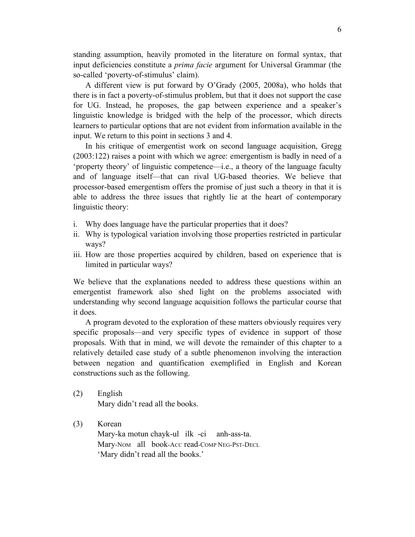standing assumption, heavily promoted in the literature on formal syntax, that input deficiencies constitute a *prima facie* argument for Universal Grammar (the so-called 'poverty-of-stimulus' claim).

A different view is put forward by O'Grady (2005, 2008a), who holds that there is in fact a poverty-of-stimulus problem, but that it does not support the case for UG. Instead, he proposes, the gap between experience and a speaker's linguistic knowledge is bridged with the help of the processor, which directs learners to particular options that are not evident from information available in the input. We return to this point in sections 3 and 4.

In his critique of emergentist work on second language acquisition, Gregg (2003:122) raises a point with which we agree: emergentism is badly in need of a 'property theory' of linguistic competence—i.e., a theory of the language faculty and of language itself—that can rival UG-based theories. We believe that processor-based emergentism offers the promise of just such a theory in that it is able to address the three issues that rightly lie at the heart of contemporary linguistic theory:

- i. Why does language have the particular properties that it does?
- ii. Why is typological variation involving those properties restricted in particular ways?
- iii. How are those properties acquired by children, based on experience that is limited in particular ways?

We believe that the explanations needed to address these questions within an emergentist framework also shed light on the problems associated with understanding why second language acquisition follows the particular course that it does.

A program devoted to the exploration of these matters obviously requires very specific proposals—and very specific types of evidence in support of those proposals. With that in mind, we will devote the remainder of this chapter to a relatively detailed case study of a subtle phenomenon involving the interaction between negation and quantification exemplified in English and Korean constructions such as the following.

(2) English Mary didn't read all the books.

(3) Korean Mary-ka motun chayk-ul ilk -ci anh-ass-ta. Mary-NOM all book-ACC read-COMP NEG-PST-DECL 'Mary didn't read all the books.'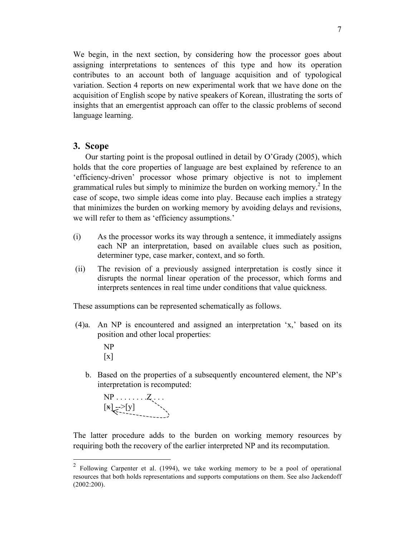We begin, in the next section, by considering how the processor goes about assigning interpretations to sentences of this type and how its operation contributes to an account both of language acquisition and of typological variation. Section 4 reports on new experimental work that we have done on the acquisition of English scope by native speakers of Korean, illustrating the sorts of insights that an emergentist approach can offer to the classic problems of second language learning.

# **3. Scope**

Our starting point is the proposal outlined in detail by O'Grady (2005), which holds that the core properties of language are best explained by reference to an 'efficiency-driven' processor whose primary objective is not to implement grammatical rules but simply to minimize the burden on working memory.<sup>2</sup> In the case of scope, two simple ideas come into play. Because each implies a strategy that minimizes the burden on working memory by avoiding delays and revisions, we will refer to them as 'efficiency assumptions.'

- (i) As the processor works its way through a sentence, it immediately assigns each NP an interpretation, based on available clues such as position, determiner type, case marker, context, and so forth.
- (ii) The revision of a previously assigned interpretation is costly since it disrupts the normal linear operation of the processor, which forms and interprets sentences in real time under conditions that value quickness.

These assumptions can be represented schematically as follows.

- (4)a. An NP is encountered and assigned an interpretation 'x,' based on its position and other local properties:
	- NP  $\lceil x \rceil$
	- b. Based on the properties of a subsequently encountered element, the NP's interpretation is recomputed:

 NP . . . . . . . .Z . . . [x] -->[y]

The latter procedure adds to the burden on working memory resources by requiring both the recovery of the earlier interpreted NP and its recomputation.

 <sup>2</sup> Following Carpenter et al. (1994), we take working memory to be a pool of operational resources that both holds representations and supports computations on them. See also Jackendoff (2002:200).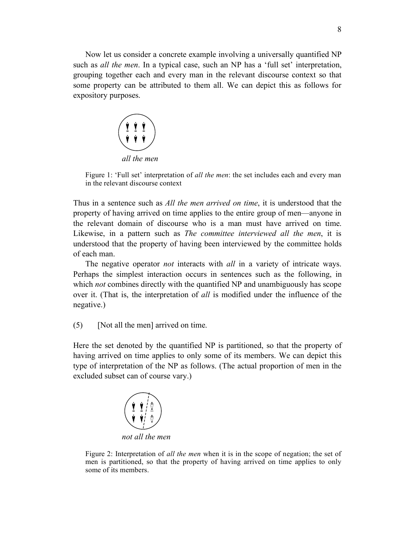Now let us consider a concrete example involving a universally quantified NP such as *all the men*. In a typical case, such an NP has a 'full set' interpretation, grouping together each and every man in the relevant discourse context so that some property can be attributed to them all. We can depict this as follows for expository purposes.



Figure 1: 'Full set' interpretation of *all the men*: the set includes each and every man in the relevant discourse context

Thus in a sentence such as *All the men arrived on time*, it is understood that the property of having arrived on time applies to the entire group of men—anyone in the relevant domain of discourse who is a man must have arrived on time. Likewise, in a pattern such as *The committee interviewed all the men*, it is understood that the property of having been interviewed by the committee holds of each man.

The negative operator *not* interacts with *all* in a variety of intricate ways. Perhaps the simplest interaction occurs in sentences such as the following, in which *not* combines directly with the quantified NP and unambiguously has scope over it. (That is, the interpretation of *all* is modified under the influence of the negative.)

(5) [Not all the men] arrived on time.

Here the set denoted by the quantified NP is partitioned, so that the property of having arrived on time applies to only some of its members. We can depict this type of interpretation of the NP as follows. (The actual proportion of men in the excluded subset can of course vary.)



Figure 2: Interpretation of *all the men* when it is in the scope of negation; the set of men is partitioned, so that the property of having arrived on time applies to only some of its members.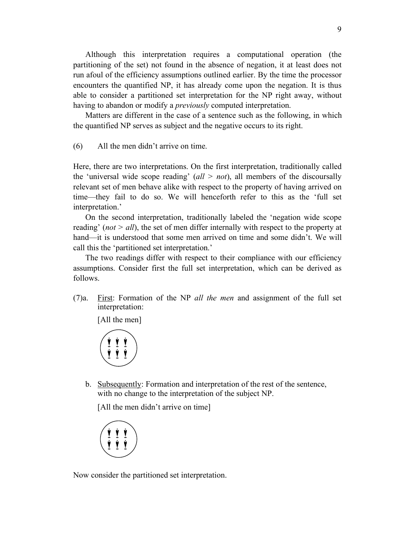Although this interpretation requires a computational operation (the partitioning of the set) not found in the absence of negation, it at least does not run afoul of the efficiency assumptions outlined earlier. By the time the processor encounters the quantified NP, it has already come upon the negation. It is thus able to consider a partitioned set interpretation for the NP right away, without having to abandon or modify a *previously* computed interpretation.

Matters are different in the case of a sentence such as the following, in which the quantified NP serves as subject and the negative occurs to its right.

(6) All the men didn't arrive on time.

Here, there are two interpretations. On the first interpretation, traditionally called the 'universal wide scope reading'  $\left(\frac{all}{2} \right)$  all members of the discoursally relevant set of men behave alike with respect to the property of having arrived on time—they fail to do so. We will henceforth refer to this as the 'full set interpretation.'

On the second interpretation, traditionally labeled the 'negation wide scope reading' (*not > all*), the set of men differ internally with respect to the property at hand—it is understood that some men arrived on time and some didn't. We will call this the 'partitioned set interpretation.'

The two readings differ with respect to their compliance with our efficiency assumptions. Consider first the full set interpretation, which can be derived as follows.

(7)a. First: Formation of the NP *all the men* and assignment of the full set interpretation:

[All the men]

$$
\left(\underbrace{\begin{array}{c} \boldsymbol{\dot{\gamma}} \\ \boldsymbol{\dot{\gamma}} \end{array}}_{\boldsymbol{\dot{\gamma}}} \underbrace{\begin{array}{c} \boldsymbol{\dot{\gamma}} \\ \boldsymbol{\dot{\gamma}} \end{array}}_{\boldsymbol{\dot{\gamma}}}\right)
$$

b. Subsequently: Formation and interpretation of the rest of the sentence, with no change to the interpretation of the subject NP.

[All the men didn't arrive on time]



Now consider the partitioned set interpretation.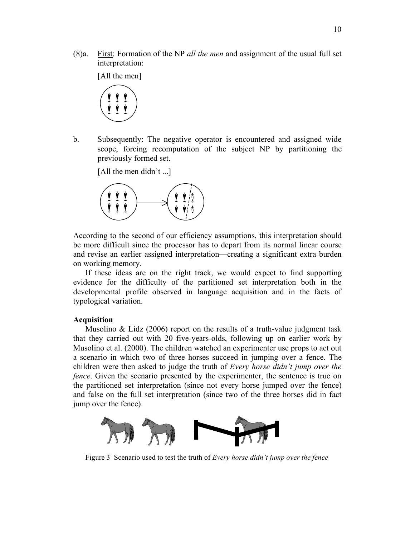(8)a. First: Formation of the NP *all the men* and assignment of the usual full set interpretation:

[All the men]



b. Subsequently: The negative operator is encountered and assigned wide scope, forcing recomputation of the subject NP by partitioning the previously formed set.



According to the second of our efficiency assumptions, this interpretation should be more difficult since the processor has to depart from its normal linear course and revise an earlier assigned interpretation—creating a significant extra burden on working memory.

If these ideas are on the right track, we would expect to find supporting evidence for the difficulty of the partitioned set interpretation both in the developmental profile observed in language acquisition and in the facts of typological variation.

#### **Acquisition**

Musolino  $\&$  Lidz (2006) report on the results of a truth-value judgment task that they carried out with 20 five-years-olds, following up on earlier work by Musolino et al. (2000). The children watched an experimenter use props to act out a scenario in which two of three horses succeed in jumping over a fence. The children were then asked to judge the truth of *Every horse didn't jump over the fence*. Given the scenario presented by the experimenter, the sentence is true on the partitioned set interpretation (since not every horse jumped over the fence) and false on the full set interpretation (since two of the three horses did in fact jump over the fence).



Figure 3 Scenario used to test the truth of *Every horse didn't jump over the fence*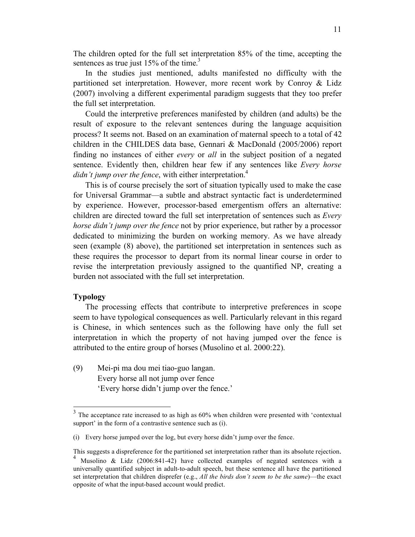The children opted for the full set interpretation 85% of the time, accepting the sentences as true just  $15\%$  of the time.<sup>3</sup>

In the studies just mentioned, adults manifested no difficulty with the partitioned set interpretation. However, more recent work by Conroy & Lidz (2007) involving a different experimental paradigm suggests that they too prefer the full set interpretation.

Could the interpretive preferences manifested by children (and adults) be the result of exposure to the relevant sentences during the language acquisition process? It seems not. Based on an examination of maternal speech to a total of 42 children in the CHILDES data base, Gennari & MacDonald (2005/2006) report finding no instances of either *every* or *all* in the subject position of a negated sentence. Evidently then, children hear few if any sentences like *Every horse didn't jump over the fence*, with either interpretation.<sup>4</sup>

This is of course precisely the sort of situation typically used to make the case for Universal Grammar—a subtle and abstract syntactic fact is underdetermined by experience. However, processor-based emergentism offers an alternative: children are directed toward the full set interpretation of sentences such as *Every horse didn't jump over the fence* not by prior experience, but rather by a processor dedicated to minimizing the burden on working memory. As we have already seen (example (8) above), the partitioned set interpretation in sentences such as these requires the processor to depart from its normal linear course in order to revise the interpretation previously assigned to the quantified NP, creating a burden not associated with the full set interpretation.

### **Typology**

The processing effects that contribute to interpretive preferences in scope seem to have typological consequences as well. Particularly relevant in this regard is Chinese, in which sentences such as the following have only the full set interpretation in which the property of not having jumped over the fence is attributed to the entire group of horses (Musolino et al. 2000:22).

(9) Mei-pi ma dou mei tiao-guo langan. Every horse all not jump over fence 'Every horse didn't jump over the fence.'

 $3$  The acceptance rate increased to as high as 60% when children were presented with 'contextual support' in the form of a contrastive sentence such as (i).

<sup>(</sup>i) Every horse jumped over the log, but every horse didn't jump over the fence.

This suggests a dispreference for the partitioned set interpretation rather than its absolute rejection.<br><sup>4</sup> Musolino & Lidz (2006:841-42) have collected examples of negated sentences with a universally quantified subject in adult-to-adult speech, but these sentence all have the partitioned set interpretation that children disprefer (e.g., *All the birds don't seem to be the same*)—the exact opposite of what the input-based account would predict.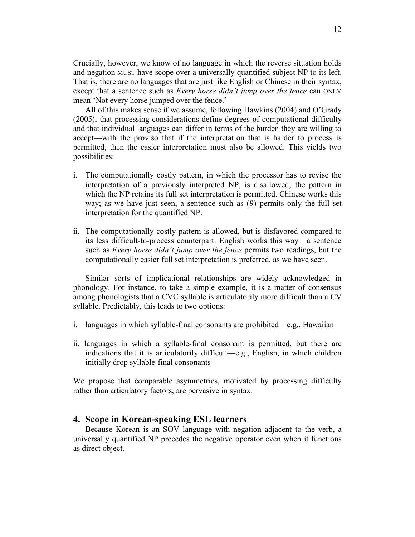Crucially, however, we know of no language in which the reverse situation holds and negation MUST have scope over a universally quantified subject NP to its left. That is, there are no languages that are just like English or Chinese in their syntax, except that a sentence such as *Every horse didn't jump over the fence* can ONLY mean 'Not every horse jumped over the fence.'

All of this makes sense if we assume, following Hawkins (2004) and O'Grady (2005), that processing considerations define degrees of computational difficulty and that individual languages can differ in terms of the burden they are willing to accept—with the proviso that if the interpretation that is harder to process is permitted, then the easier interpretation must also be allowed. This yields two possibilities:

- i. The computationally costly pattern, in which the processor has to revise the interpretation of a previously interpreted NP, is disallowed; the pattern in which the NP retains its full set interpretation is permitted. Chinese works this way; as we have just seen, a sentence such as (9) permits only the full set interpretation for the quantified NP.
- ii. The computationally costly pattern is allowed, but is disfavored compared to its less difficult-to-process counterpart. English works this way—a sentence such as *Every horse didn't jump over the fence* permits two readings, but the computationally easier full set interpretation is preferred, as we have seen.

Similar sorts of implicational relationships are widely acknowledged in phonology. For instance, to take a simple example, it is a matter of consensus among phonologists that a CVC syllable is articulatorily more difficult than a CV syllable. Predictably, this leads to two options:

- i. languages in which syllable-final consonants are prohibited—e.g., Hawaiian
- ii. languages in which a syllable-final consonant is permitted, but there are indications that it is articulatorily difficult—e.g., English, in which children initially drop syllable-final consonants

We propose that comparable asymmetries, motivated by processing difficulty rather than articulatory factors, are pervasive in syntax.

# **4. Scope in Korean-speaking ESL learners**

Because Korean is an SOV language with negation adjacent to the verb, a universally quantified NP precedes the negative operator even when it functions as direct object.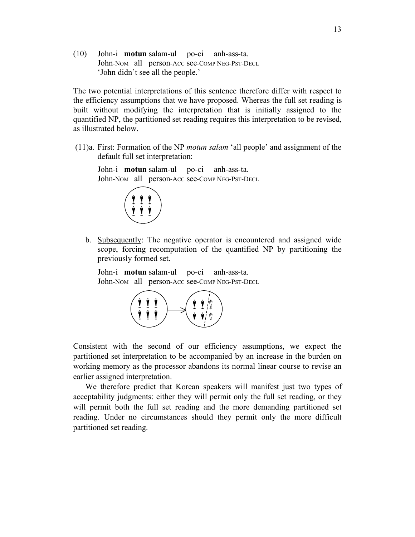(10) John-i **motun** salam-ul po-ci anh-ass-ta. John-NOM all person-ACC see-COMP NEG-PST-DECL 'John didn't see all the people.'

The two potential interpretations of this sentence therefore differ with respect to the efficiency assumptions that we have proposed. Whereas the full set reading is built without modifying the interpretation that is initially assigned to the quantified NP, the partitioned set reading requires this interpretation to be revised, as illustrated below.

 (11)a. First: Formation of the NP *motun salam* 'all people' and assignment of the default full set interpretation:

John-i **motun** salam-ul po-ci anh-ass-ta. John-NOM all person-ACC see-COMP NEG-PST-DECL



b. Subsequently: The negative operator is encountered and assigned wide scope, forcing recomputation of the quantified NP by partitioning the previously formed set.

John-i **motun** salam-ul po-ci anh-ass-ta. John-NOM all person-ACC see-COMP NEG-PST-DECL



Consistent with the second of our efficiency assumptions, we expect the partitioned set interpretation to be accompanied by an increase in the burden on working memory as the processor abandons its normal linear course to revise an earlier assigned interpretation.

We therefore predict that Korean speakers will manifest just two types of acceptability judgments: either they will permit only the full set reading, or they will permit both the full set reading and the more demanding partitioned set reading. Under no circumstances should they permit only the more difficult partitioned set reading.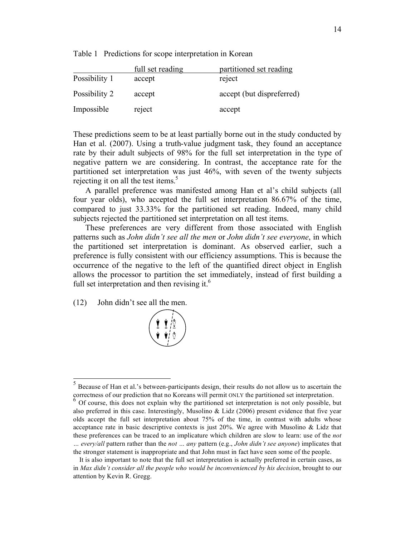Table 1 Predictions for scope interpretation in Korean

|               | full set reading | partitioned set reading   |
|---------------|------------------|---------------------------|
| Possibility 1 | accept           | reject                    |
| Possibility 2 | accept           | accept (but dispreferred) |
| Impossible    | reject           | accept                    |

These predictions seem to be at least partially borne out in the study conducted by Han et al. (2007). Using a truth-value judgment task, they found an acceptance rate by their adult subjects of 98% for the full set interpretation in the type of negative pattern we are considering. In contrast, the acceptance rate for the partitioned set interpretation was just 46%, with seven of the twenty subjects rejecting it on all the test items.<sup>5</sup>

A parallel preference was manifested among Han et al's child subjects (all four year olds), who accepted the full set interpretation 86.67% of the time, compared to just 33.33% for the partitioned set reading. Indeed, many child subjects rejected the partitioned set interpretation on all test items.

These preferences are very different from those associated with English patterns such as *John didn't see all the men* or *John didn't see everyone*, in which the partitioned set interpretation is dominant. As observed earlier, such a preference is fully consistent with our efficiency assumptions. This is because the occurrence of the negative to the left of the quantified direct object in English allows the processor to partition the set immediately, instead of first building a full set interpretation and then revising it. $<sup>6</sup>$ </sup>

(12) John didn't see all the men.



 <sup>5</sup> Because of Han et al.'s between-participants design, their results do not allow us to ascertain the correctness of our prediction that no Koreans will permit ONLY the partitioned set interpretation. <sup>6</sup> Of course, this does not explain why the partitioned set interpretation is not only possible, but

also preferred in this case. Interestingly, Musolino & Lidz (2006) present evidence that five year olds accept the full set interpretation about 75% of the time, in contrast with adults whose acceptance rate in basic descriptive contexts is just 20%. We agree with Musolino & Lidz that these preferences can be traced to an implicature which children are slow to learn: use of the *not … every/all* pattern rather than the *not … any* pattern (e.g., *John didn't see anyone*) implicates that the stronger statement is inappropriate and that John must in fact have seen some of the people.

It is also important to note that the full set interpretation is actually preferred in certain cases, as in *Max didn't consider all the people who would be inconvenienced by his decision*, brought to our attention by Kevin R. Gregg.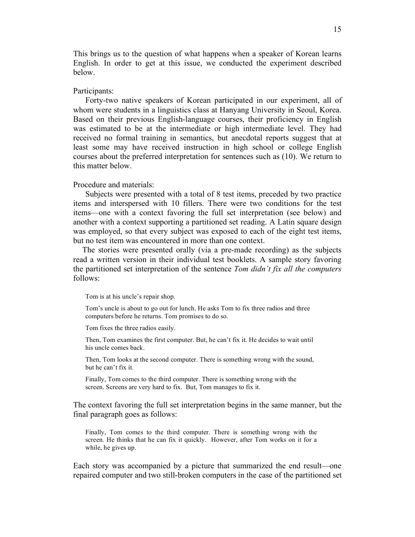This brings us to the question of what happens when a speaker of Korean learns English. In order to get at this issue, we conducted the experiment described below.

#### Participants:

Forty-two native speakers of Korean participated in our experiment, all of whom were students in a linguistics class at Hanyang University in Seoul, Korea. Based on their previous English-language courses, their proficiency in English was estimated to be at the intermediate or high intermediate level. They had received no formal training in semantics, but anecdotal reports suggest that at least some may have received instruction in high school or college English courses about the preferred interpretation for sentences such as (10). We return to this matter below.

#### Procedure and materials:

Subjects were presented with a total of 8 test items, preceded by two practice items and interspersed with 10 fillers. There were two conditions for the test items—one with a context favoring the full set interpretation (see below) and another with a context supporting a partitioned set reading. A Latin square design was employed, so that every subject was exposed to each of the eight test items, but no test item was encountered in more than one context.

The stories were presented orally (via a pre-made recording) as the subjects read a written version in their individual test booklets. A sample story favoring the partitioned set interpretation of the sentence *Tom didn't fix all the computers* follows:

Tom is at his uncle's repair shop.

Tom's uncle is about to go out for lunch. He asks Tom to fix three radios and three computers before he returns. Tom promises to do so.

Tom fixes the three radios easily.

Then, Tom examines the first computer. But, he can't fix it. He decides to wait until his uncle comes back.

Then, Tom looks at the second computer. There is something wrong with the sound, but he can't fix it.

Finally, Tom comes to the third computer. There is something wrong with the screen. Screens are very hard to fix. But, Tom manages to fix it.

The context favoring the full set interpretation begins in the same manner, but the final paragraph goes as follows:

Finally, Tom comes to the third computer. There is something wrong with the screen. He thinks that he can fix it quickly. However, after Tom works on it for a while, he gives up.

Each story was accompanied by a picture that summarized the end result—one repaired computer and two still-broken computers in the case of the partitioned set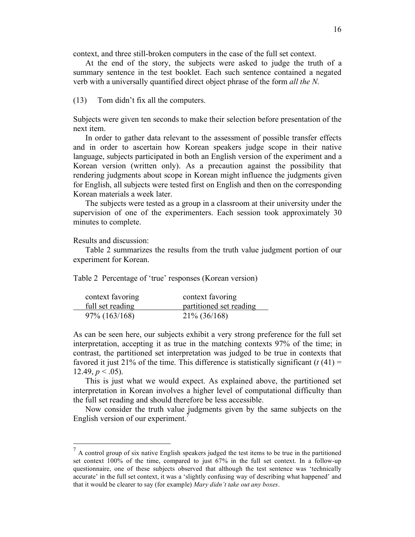context, and three still-broken computers in the case of the full set context.

At the end of the story, the subjects were asked to judge the truth of a summary sentence in the test booklet. Each such sentence contained a negated verb with a universally quantified direct object phrase of the form *all the N*.

(13) Tom didn't fix all the computers.

Subjects were given ten seconds to make their selection before presentation of the next item.

In order to gather data relevant to the assessment of possible transfer effects and in order to ascertain how Korean speakers judge scope in their native language, subjects participated in both an English version of the experiment and a Korean version (written only). As a precaution against the possibility that rendering judgments about scope in Korean might influence the judgments given for English, all subjects were tested first on English and then on the corresponding Korean materials a week later.

The subjects were tested as a group in a classroom at their university under the supervision of one of the experimenters. Each session took approximately 30 minutes to complete.

Results and discussion:

Table 2 summarizes the results from the truth value judgment portion of our experiment for Korean.

Table 2 Percentage of 'true' responses (Korean version)

| context favoring | context favoring        |
|------------------|-------------------------|
| full set reading | partitioned set reading |
| $97\%$ (163/168) | $21\% (36/168)$         |

As can be seen here, our subjects exhibit a very strong preference for the full set interpretation, accepting it as true in the matching contexts 97% of the time; in contrast, the partitioned set interpretation was judged to be true in contexts that favored it just 21% of the time. This difference is statistically significant  $(t(41)$  = 12.49,  $p < .05$ ).

This is just what we would expect. As explained above, the partitioned set interpretation in Korean involves a higher level of computational difficulty than the full set reading and should therefore be less accessible.

Now consider the truth value judgments given by the same subjects on the English version of our experiment.

 $<sup>7</sup>$  A control group of six native English speakers judged the test items to be true in the partitioned</sup> set context 100% of the time, compared to just 67% in the full set context. In a follow-up questionnaire, one of these subjects observed that although the test sentence was 'technically accurate' in the full set context, it was a 'slightly confusing way of describing what happened' and that it would be clearer to say (for example) *Mary didn't take out any boxes*.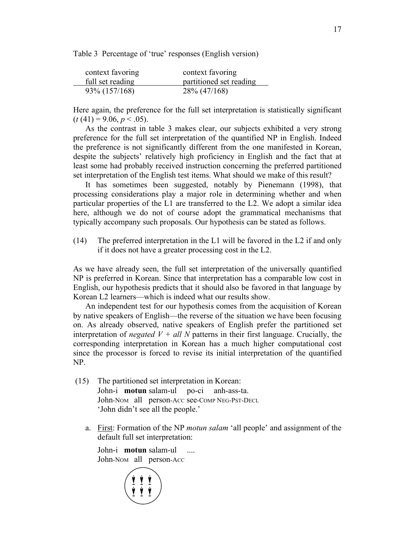Table 3 Percentage of 'true' responses (English version)

| context favoring | context favoring        |
|------------------|-------------------------|
| full set reading | partitioned set reading |
| 93\% (157/168)   | 28\% (47/168)           |

Here again, the preference for the full set interpretation is statistically significant  $(t(41) = 9.06, p < .05)$ .

As the contrast in table 3 makes clear, our subjects exhibited a very strong preference for the full set interpretation of the quantified NP in English. Indeed the preference is not significantly different from the one manifested in Korean, despite the subjects' relatively high proficiency in English and the fact that at least some had probably received instruction concerning the preferred partitioned set interpretation of the English test items. What should we make of this result?

It has sometimes been suggested, notably by Pienemann (1998), that processing considerations play a major role in determining whether and when particular properties of the L1 are transferred to the L2. We adopt a similar idea here, although we do not of course adopt the grammatical mechanisms that typically accompany such proposals. Our hypothesis can be stated as follows.

(14) The preferred interpretation in the L1 will be favored in the L2 if and only if it does not have a greater processing cost in the L2.

As we have already seen, the full set interpretation of the universally quantified NP is preferred in Korean. Since that interpretation has a comparable low cost in English, our hypothesis predicts that it should also be favored in that language by Korean L2 learners—which is indeed what our results show.

An independent test for our hypothesis comes from the acquisition of Korean by native speakers of English—the reverse of the situation we have been focusing on. As already observed, native speakers of English prefer the partitioned set interpretation of *negated*  $V + all N$  patterns in their first language. Crucially, the corresponding interpretation in Korean has a much higher computational cost since the processor is forced to revise its initial interpretation of the quantified NP.

- (15) The partitioned set interpretation in Korean: John-i **motun** salam-ul po-ci anh-ass-ta. John-NOM all person-ACC see-COMP NEG-PST-DECL 'John didn't see all the people.'
	- a. First: Formation of the NP *motun salam* 'all people' and assignment of the default full set interpretation:

John-i **motun** salam-ul .... John-NOM all person-ACC

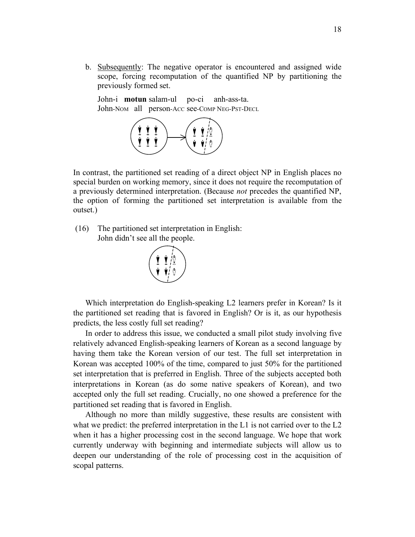b. Subsequently: The negative operator is encountered and assigned wide scope, forcing recomputation of the quantified NP by partitioning the previously formed set.

John-i **motun** salam-ul po-ci anh-ass-ta. John-NOM all person-ACC see-COMP NEG-PST-DECL



In contrast, the partitioned set reading of a direct object NP in English places no special burden on working memory, since it does not require the recomputation of a previously determined interpretation. (Because *not* precedes the quantified NP, the option of forming the partitioned set interpretation is available from the outset.)

 (16) The partitioned set interpretation in English: John didn't see all the people.



Which interpretation do English-speaking L2 learners prefer in Korean? Is it the partitioned set reading that is favored in English? Or is it, as our hypothesis predicts, the less costly full set reading?

In order to address this issue, we conducted a small pilot study involving five relatively advanced English-speaking learners of Korean as a second language by having them take the Korean version of our test. The full set interpretation in Korean was accepted 100% of the time, compared to just 50% for the partitioned set interpretation that is preferred in English. Three of the subjects accepted both interpretations in Korean (as do some native speakers of Korean), and two accepted only the full set reading. Crucially, no one showed a preference for the partitioned set reading that is favored in English.

Although no more than mildly suggestive, these results are consistent with what we predict: the preferred interpretation in the L1 is not carried over to the L2 when it has a higher processing cost in the second language. We hope that work currently underway with beginning and intermediate subjects will allow us to deepen our understanding of the role of processing cost in the acquisition of scopal patterns.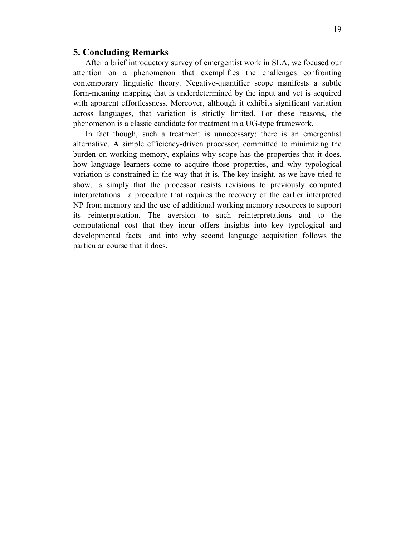# **5. Concluding Remarks**

After a brief introductory survey of emergentist work in SLA, we focused our attention on a phenomenon that exemplifies the challenges confronting contemporary linguistic theory. Negative-quantifier scope manifests a subtle form-meaning mapping that is underdetermined by the input and yet is acquired with apparent effortlessness. Moreover, although it exhibits significant variation across languages, that variation is strictly limited. For these reasons, the phenomenon is a classic candidate for treatment in a UG-type framework.

In fact though, such a treatment is unnecessary; there is an emergentist alternative. A simple efficiency-driven processor, committed to minimizing the burden on working memory, explains why scope has the properties that it does, how language learners come to acquire those properties, and why typological variation is constrained in the way that it is. The key insight, as we have tried to show, is simply that the processor resists revisions to previously computed interpretations—a procedure that requires the recovery of the earlier interpreted NP from memory and the use of additional working memory resources to support its reinterpretation. The aversion to such reinterpretations and to the computational cost that they incur offers insights into key typological and developmental facts—and into why second language acquisition follows the particular course that it does.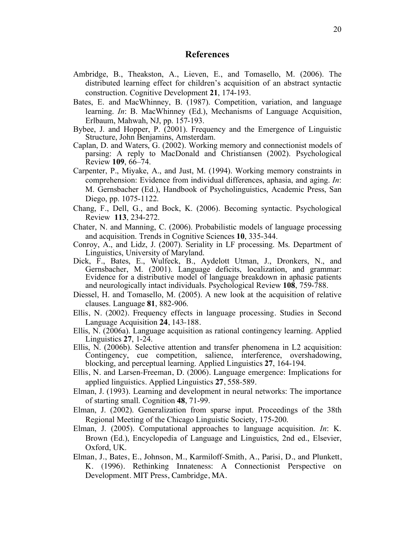# **References**

- Ambridge, B., Theakston, A., Lieven, E., and Tomasello, M. (2006). The distributed learning effect for children's acquisition of an abstract syntactic construction. Cognitive Development **21**, 174-193.
- Bates, E. and MacWhinney, B. (1987). Competition, variation, and language learning. *In*: B. MacWhinney (Ed.), Mechanisms of Language Acquisition, Erlbaum, Mahwah, NJ, pp. 157-193.
- Bybee, J. and Hopper, P. (2001). Frequency and the Emergence of Linguistic Structure, John Benjamins, Amsterdam.
- Caplan, D. and Waters, G. (2002). Working memory and connectionist models of parsing: A reply to MacDonald and Christiansen (2002). Psychological Review **109**, 66–74.
- Carpenter, P., Miyake, A., and Just, M. (1994). Working memory constraints in comprehension: Evidence from individual differences, aphasia, and aging. *In*: M. Gernsbacher (Ed.), Handbook of Psycholinguistics, Academic Press, San Diego, pp. 1075-1122.
- Chang, F., Dell, G., and Bock, K. (2006). Becoming syntactic. Psychological Review **113**, 234-272.
- Chater, N. and Manning, C. (2006). Probabilistic models of language processing and acquisition. Trends in Cognitive Sciences **10**, 335-344.
- Conroy, A., and Lidz, J. (2007). Seriality in LF processing. Ms. Department of Linguistics, University of Maryland.
- Dick, F., Bates, E., Wulfeck, B., Aydelott Utman, J., Dronkers, N., and Gernsbacher, M. (2001). Language deficits, localization, and grammar: Evidence for a distributive model of language breakdown in aphasic patients and neurologically intact individuals. Psychological Review **108**, 759-788.
- Diessel, H. and Tomasello, M. (2005). A new look at the acquisition of relative clauses. Language **81**, 882-906.
- Ellis, N. (2002). Frequency effects in language processing. Studies in Second Language Acquisition **24**, 143-188.
- Ellis, N. (2006a). Language acquisition as rational contingency learning. Applied Linguistics **27**, 1-24.
- Ellis, N. (2006b). Selective attention and transfer phenomena in L2 acquisition: Contingency, cue competition, salience, interference, overshadowing, blocking, and perceptual learning. Applied Linguistics **27**, 164-194.
- Ellis, N. and Larsen-Freeman, D. (2006). Language emergence: Implications for applied linguistics. Applied Linguistics **27**, 558-589.
- Elman, J. (1993). Learning and development in neural networks: The importance of starting small. Cognition **48**, 71-99.
- Elman, J. (2002). Generalization from sparse input. Proceedings of the 38th Regional Meeting of the Chicago Linguistic Society, 175-200.
- Elman, J. (2005). Computational approaches to language acquisition. *In*: K. Brown (Ed.), Encyclopedia of Language and Linguistics, 2nd ed., Elsevier, Oxford, UK.
- Elman, J., Bates, E., Johnson, M., Karmiloff-Smith, A., Parisi, D., and Plunkett, K. (1996). Rethinking Innateness: A Connectionist Perspective on Development. MIT Press, Cambridge, MA.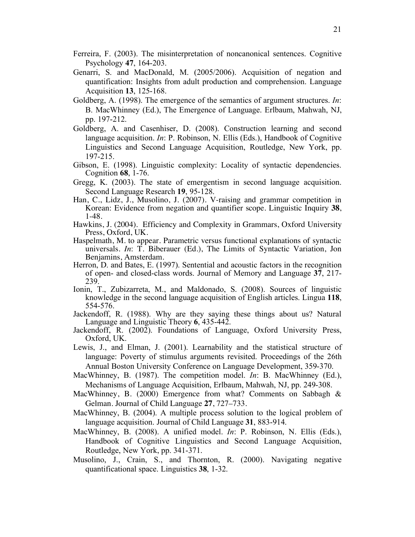- Ferreira, F. (2003). The misinterpretation of noncanonical sentences. Cognitive Psychology **47**, 164-203.
- Genarri, S. and MacDonald, M. (2005/2006). Acquisition of negation and quantification: Insights from adult production and comprehension. Language Acquisition **13**, 125-168.
- Goldberg, A. (1998). The emergence of the semantics of argument structures. *In*: B. MacWhinney (Ed.), The Emergence of Language. Erlbaum, Mahwah, NJ, pp. 197-212.
- Goldberg, A. and Casenhiser, D. (2008). Construction learning and second language acquisition. *In*: P. Robinson, N. Ellis (Eds.), Handbook of Cognitive Linguistics and Second Language Acquisition, Routledge, New York, pp. 197-215.
- Gibson, E. (1998). Linguistic complexity: Locality of syntactic dependencies. Cognition **68**, 1-76.
- Gregg, K. (2003). The state of emergentism in second language acquisition. Second Language Research **19**, 95-128.
- Han, C., Lidz, J., Musolino, J. (2007). V-raising and grammar competition in Korean: Evidence from negation and quantifier scope. Linguistic Inquiry **38**, 1-48.
- Hawkins, J. (2004). Efficiency and Complexity in Grammars, Oxford University Press, Oxford, UK.
- Haspelmath, M. to appear. Parametric versus functional explanations of syntactic universals. *In*: T. Biberauer (Ed.), The Limits of Syntactic Variation, Jon Benjamins, Amsterdam.
- Herron, D. and Bates, E. (1997). Sentential and acoustic factors in the recognition of open- and closed-class words. Journal of Memory and Language **37**, 217- 239.
- Ionin, T., Zubizarreta, M., and Maldonado, S. (2008). Sources of linguistic knowledge in the second language acquisition of English articles. Lingua **118**, 554-576.
- Jackendoff, R. (1988). Why are they saying these things about us? Natural Language and Linguistic Theory **6**, 435-442.
- Jackendoff, R. (2002). Foundations of Language, Oxford University Press, Oxford, UK.
- Lewis, J., and Elman, J. (2001). Learnability and the statistical structure of language: Poverty of stimulus arguments revisited. Proceedings of the 26th Annual Boston University Conference on Language Development, 359-370.
- MacWhinney, B. (1987). The competition model. *In*: B. MacWhinney (Ed.), Mechanisms of Language Acquisition, Erlbaum, Mahwah, NJ, pp. 249-308.
- MacWhinney, B. (2000) Emergence from what? Comments on Sabbagh & Gelman. Journal of Child Language **27**, 727–733.
- MacWhinney, B. (2004). A multiple process solution to the logical problem of language acquisition. Journal of Child Language **31**, 883-914.
- MacWhinney, B. (2008). A unified model. *In*: P. Robinson, N. Ellis (Eds.), Handbook of Cognitive Linguistics and Second Language Acquisition, Routledge, New York, pp. 341-371.
- Musolino, J., Crain, S., and Thornton, R. (2000). Navigating negative quantificational space. Linguistics **38**, 1-32.